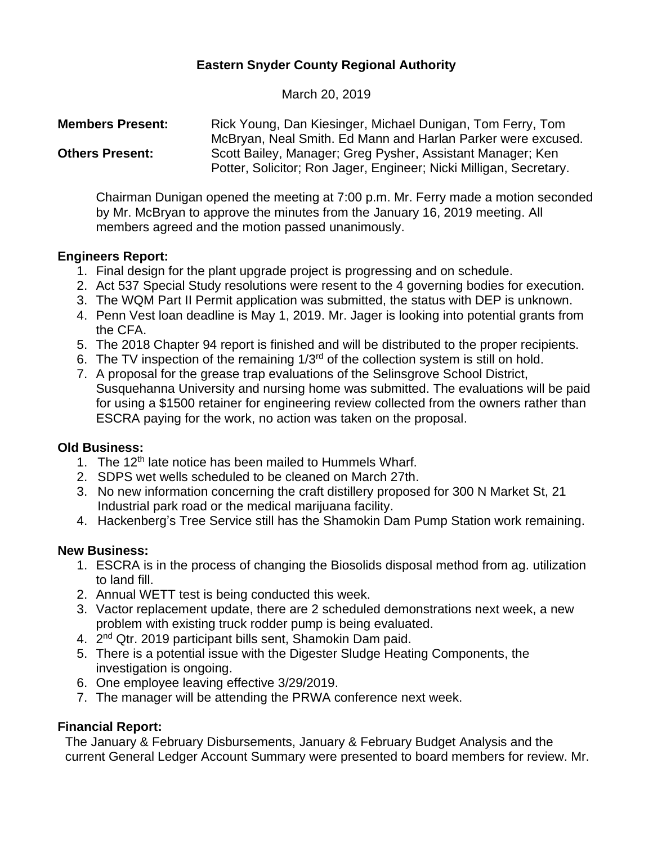# **Eastern Snyder County Regional Authority**

March 20, 2019

| <b>Members Present:</b> | Rick Young, Dan Kiesinger, Michael Dunigan, Tom Ferry, Tom         |
|-------------------------|--------------------------------------------------------------------|
|                         | McBryan, Neal Smith. Ed Mann and Harlan Parker were excused.       |
| <b>Others Present:</b>  | Scott Bailey, Manager; Greg Pysher, Assistant Manager; Ken         |
|                         | Potter, Solicitor; Ron Jager, Engineer; Nicki Milligan, Secretary. |

Chairman Dunigan opened the meeting at 7:00 p.m. Mr. Ferry made a motion seconded by Mr. McBryan to approve the minutes from the January 16, 2019 meeting. All members agreed and the motion passed unanimously.

### **Engineers Report:**

- 1. Final design for the plant upgrade project is progressing and on schedule.
- 2. Act 537 Special Study resolutions were resent to the 4 governing bodies for execution.
- 3. The WQM Part II Permit application was submitted, the status with DEP is unknown.
- 4. Penn Vest loan deadline is May 1, 2019. Mr. Jager is looking into potential grants from the CFA.
- 5. The 2018 Chapter 94 report is finished and will be distributed to the proper recipients.
- 6. The TV inspection of the remaining 1/3rd of the collection system is still on hold.
- 7. A proposal for the grease trap evaluations of the Selinsgrove School District, Susquehanna University and nursing home was submitted. The evaluations will be paid for using a \$1500 retainer for engineering review collected from the owners rather than ESCRA paying for the work, no action was taken on the proposal.

#### **Old Business:**

- 1. The 12<sup>th</sup> late notice has been mailed to Hummels Wharf.
- 2. SDPS wet wells scheduled to be cleaned on March 27th.
- 3. No new information concerning the craft distillery proposed for 300 N Market St, 21 Industrial park road or the medical marijuana facility.
- 4. Hackenberg's Tree Service still has the Shamokin Dam Pump Station work remaining.

#### **New Business:**

- 1. ESCRA is in the process of changing the Biosolids disposal method from ag. utilization to land fill.
- 2. Annual WETT test is being conducted this week.
- 3. Vactor replacement update, there are 2 scheduled demonstrations next week, a new problem with existing truck rodder pump is being evaluated.
- 4. 2<sup>nd</sup> Qtr. 2019 participant bills sent, Shamokin Dam paid.
- 5. There is a potential issue with the Digester Sludge Heating Components, the investigation is ongoing.
- 6. One employee leaving effective 3/29/2019.
- 7. The manager will be attending the PRWA conference next week.

## **Financial Report:**

The January & February Disbursements, January & February Budget Analysis and the current General Ledger Account Summary were presented to board members for review. Mr.